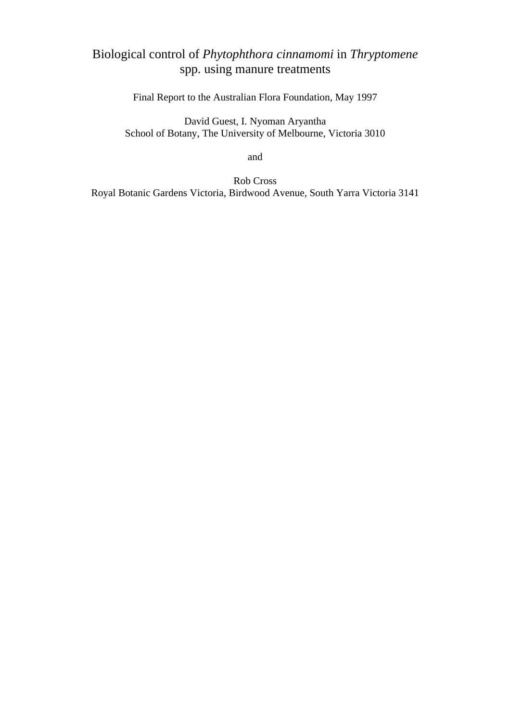# Biological control of *Phytophthora cinnamomi* in *Thryptomene*  spp. using manure treatments

Final Report to the Australian Flora Foundation, May 1997

David Guest, I. Nyoman Aryantha School of Botany, The University of Melbourne, Victoria 3010

and

Rob Cross Royal Botanic Gardens Victoria, Birdwood Avenue, South Yarra Victoria 3141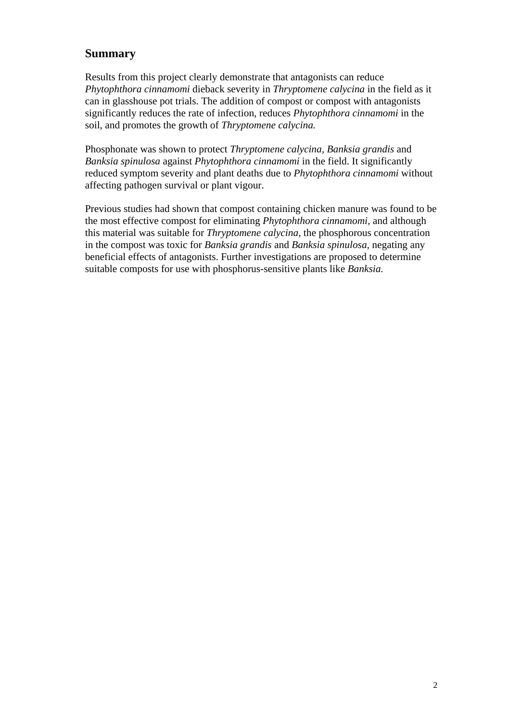### **Summary**

Results from this project clearly demonstrate that antagonists can reduce *Phytophthora cinnamomi* dieback severity in *Thryptomene calycina* in the field as it can in glasshouse pot trials. The addition of compost or compost with antagonists significantly reduces the rate of infection, reduces *Phytophthora cinnamomi* in the soil, and promotes the growth of *Thryptomene calycina.* 

Phosphonate was shown to protect *Thryptomene calycina, Banksia grandis* and *Banksia spinulosa* against *Phytophthora cinnamomi* in the field. It significantly reduced symptom severity and plant deaths due to *Phytophthora cinnamomi* without affecting pathogen survival or plant vigour.

Previous studies had shown that compost containing chicken manure was found to be the most effective compost for eliminating *Phytophthora cinnamomi,* and although this material was suitable for *Thryptomene calycina,* the phosphorous concentration in the compost was toxic for *Banksia grandis* and *Banksia spinulosa,* negating any beneficial effects of antagonists. Further investigations are proposed to determine suitable composts for use with phosphorus-sensitive plants like *Banksia.*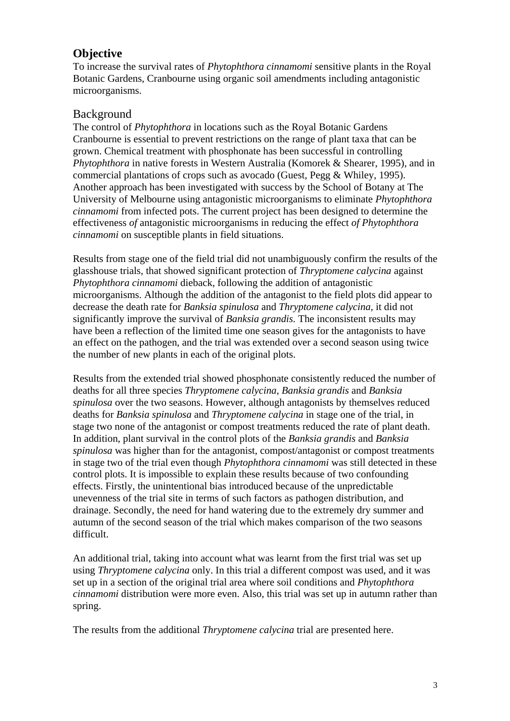### **Objective**

To increase the survival rates of *Phytophthora cinnamomi* sensitive plants in the Royal Botanic Gardens, Cranbourne using organic soil amendments including antagonistic microorganisms.

### Background

The control of *Phytophthora* in locations such as the Royal Botanic Gardens Cranbourne is essential to prevent restrictions on the range of plant taxa that can be grown. Chemical treatment with phosphonate has been successful in controlling *Phytophthora* in native forests in Western Australia (Komorek & Shearer, 1995), and in commercial plantations of crops such as avocado (Guest, Pegg & Whiley, 1995). Another approach has been investigated with success by the School of Botany at The University of Melbourne using antagonistic microorganisms to eliminate *Phytophthora cinnamomi* from infected pots. The current project has been designed to determine the effectiveness *of* antagonistic microorganisms in reducing the effect *of Phytophthora cinnamomi* on susceptible plants in field situations.

Results from stage one of the field trial did not unambiguously confirm the results of the glasshouse trials, that showed significant protection of *Thryptomene calycina* against *Phytophthora cinnamomi* dieback, following the addition of antagonistic microorganisms. Although the addition of the antagonist to the field plots did appear to decrease the death rate for *Banksia spinulosa* and *Thryptomene calycina,* it did not significantly improve the survival of *Banksia grandis.* The inconsistent results may have been a reflection of the limited time one season gives for the antagonists to have an effect on the pathogen, and the trial was extended over a second season using twice the number of new plants in each of the original plots.

Results from the extended trial showed phosphonate consistently reduced the number of deaths for all three species *Thryptomene calycina, Banksia grandis* and *Banksia spinulosa* over the two seasons. However, although antagonists by themselves reduced deaths for *Banksia spinulosa* and *Thryptomene calycina* in stage one of the trial, in stage two none of the antagonist or compost treatments reduced the rate of plant death. In addition, plant survival in the control plots of the *Banksia grandis* and *Banksia spinulosa* was higher than for the antagonist, compost/antagonist or compost treatments in stage two of the trial even though *Phytophthora cinnamomi* was still detected in these control plots. It is impossible to explain these results because of two confounding effects. Firstly, the unintentional bias introduced because of the unpredictable unevenness of the trial site in terms of such factors as pathogen distribution, and drainage. Secondly, the need for hand watering due to the extremely dry summer and autumn of the second season of the trial which makes comparison of the two seasons difficult.

An additional trial, taking into account what was learnt from the first trial was set up using *Thryptomene calycina* only. In this trial a different compost was used, and it was set up in a section of the original trial area where soil conditions and *Phytophthora cinnamomi* distribution were more even. Also, this trial was set up in autumn rather than spring.

The results from the additional *Thryptomene calycina* trial are presented here.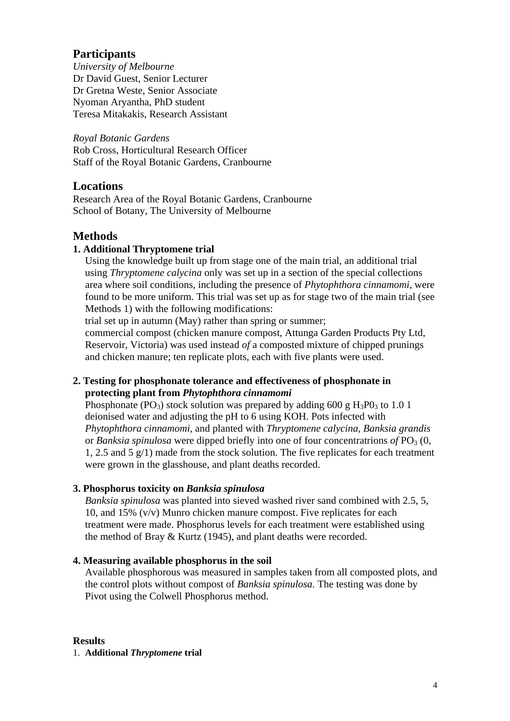### **Participants**

*University of Melbourne*  Dr David Guest, Senior Lecturer Dr Gretna Weste, Senior Associate Nyoman Aryantha, PhD student Teresa Mitakakis, Research Assistant

*Royal Botanic Gardens*  Rob Cross, Horticultural Research Officer Staff of the Royal Botanic Gardens, Cranbourne

### **Locations**

Research Area of the Royal Botanic Gardens, Cranbourne School of Botany, The University of Melbourne

# **Methods**

#### **1. Additional Thryptomene trial**

Using the knowledge built up from stage one of the main trial, an additional trial using *Thryptomene calycina* only was set up in a section of the special collections area where soil conditions, including the presence of *Phytophthora cinnamomi,* were found to be more uniform. This trial was set up as for stage two of the main trial (see Methods 1) with the following modifications:

trial set up in autumn (May) rather than spring or summer;

commercial compost (chicken manure compost, Attunga Garden Products Pty Ltd, Reservoir, Victoria) was used instead *of* a composted mixture of chipped prunings and chicken manure; ten replicate plots, each with five plants were used.

#### **2. Testing for phosphonate tolerance and effectiveness of phosphonate in protecting plant from** *Phytophthora cinnamomi*

Phosphonate (PO<sub>3</sub>) stock solution was prepared by adding 600 g  $H_3P0_3$  to 1.0 1 deionised water and adjusting the pH to 6 using KOH. Pots infected with *Phytophthora cinnamomi,* and planted with *Thryptomene calycina, Banksia grandis*  or *Banksia spinulosa* were dipped briefly into one of four concentratrions of  $PO_3$  (0, 1, 2.5 and 5 g/1) made from the stock solution. The five replicates for each treatment were grown in the glasshouse, and plant deaths recorded.

#### **3. Phosphorus toxicity on** *Banksia spinulosa*

*Banksia spinulosa* was planted into sieved washed river sand combined with 2.5, 5, 10, and 15% (v/v) Munro chicken manure compost. Five replicates for each treatment were made. Phosphorus levels for each treatment were established using the method of Bray & Kurtz (1945), and plant deaths were recorded.

#### **4. Measuring available phosphorus in the soil**

Available phosphorous was measured in samples taken from all composted plots, and the control plots without compost of *Banksia spinulosa.* The testing was done by Pivot using the Colwell Phosphorus method.

#### **Results**

1. **Additional** *Thryptomene* **trial**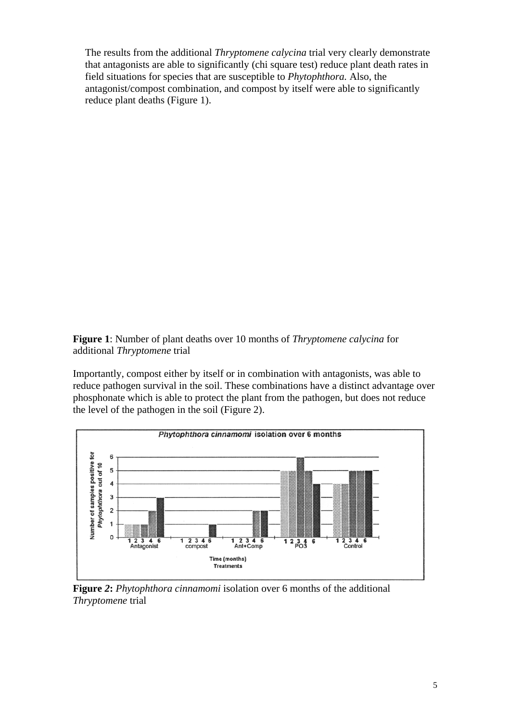The results from the additional *Thryptomene calycina* trial very clearly demonstrate that antagonists are able to significantly (chi square test) reduce plant death rates in field situations for species that are susceptible to *Phytophthora.* Also, the antagonist/compost combination, and compost by itself were able to significantly reduce plant deaths (Figure 1).

**Figure 1**: Number of plant deaths over 10 months of *Thryptomene calycina* for additional *Thryptomene* trial

Importantly, compost either by itself or in combination with antagonists, was able to reduce pathogen survival in the soil. These combinations have a distinct advantage over phosphonate which is able to protect the plant from the pathogen, but does not reduce the level of the pathogen in the soil (Figure 2).



**Figure** *2***:** *Phytophthora cinnamomi* isolation over 6 months of the additional *Thryptomene* trial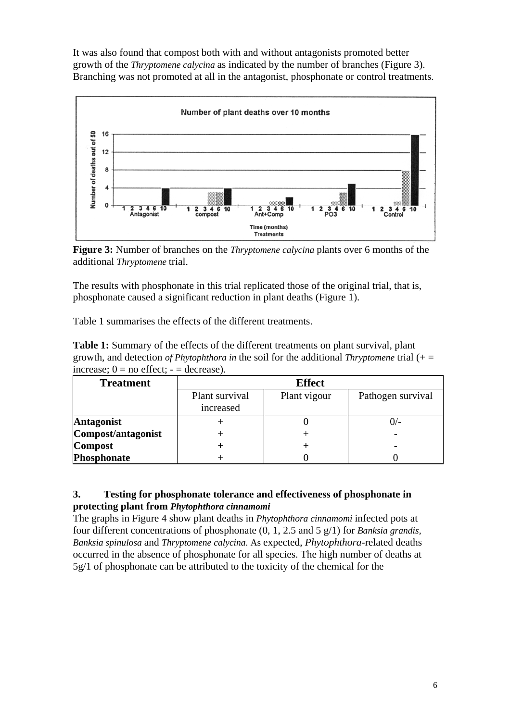It was also found that compost both with and without antagonists promoted better growth of the *Thryptomene calycina* as indicated by the number of branches (Figure 3). Branching was not promoted at all in the antagonist, phosphonate or control treatments.



**Figure 3:** Number of branches on the *Thryptomene calycina* plants over 6 months of the additional *Thryptomene* trial.

The results with phosphonate in this trial replicated those of the original trial, that is, phosphonate caused a significant reduction in plant deaths (Figure 1).

Table 1 summarises the effects of the different treatments.

| <b>Table 1:</b> Summary of the effects of the different treatments on plant survival, plant  |
|----------------------------------------------------------------------------------------------|
| growth, and detection of Phytophthora in the soil for the additional Thryptomene trial $(+)$ |
| increase; $0 = no$ effect; $- =$ decrease).                                                  |

| <b>Treatment</b>   | <b>Effect</b>               |              |                   |
|--------------------|-----------------------------|--------------|-------------------|
|                    | Plant survival<br>increased | Plant vigour | Pathogen survival |
| <b>Antagonist</b>  |                             |              |                   |
| Compost/antagonist |                             |              |                   |
| <b>Compost</b>     |                             |              |                   |
| Phosphonate        |                             |              |                   |

#### **3. Testing for phosphonate tolerance and effectiveness of phosphonate in protecting plant from** *Phytophthora cinnamomi*

The graphs in Figure 4 show plant deaths in *Phytophthora cinnamomi* infected pots at four different concentrations of phosphonate (0, 1, 2.5 and 5 g/1) for *Banksia grandis, Banksia spinulosa* and *Thryptomene calycina.* As expected, *Phytophthora*-related deaths occurred in the absence of phosphonate for all species. The high number of deaths at 5g/1 of phosphonate can be attributed to the toxicity of the chemical for the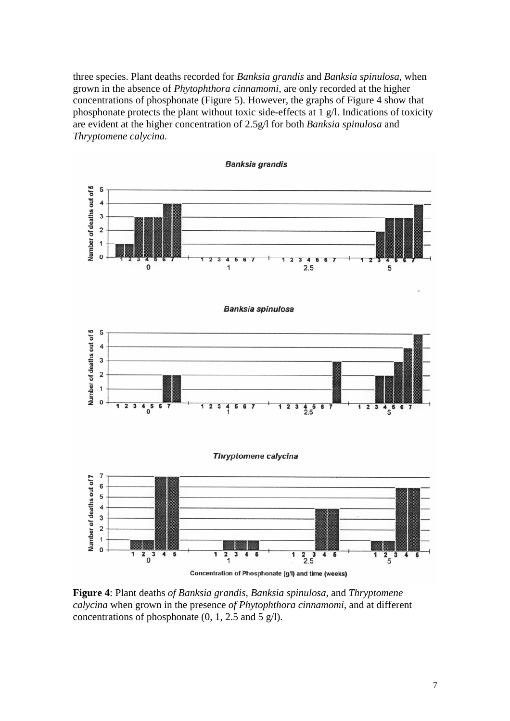three species. Plant deaths recorded for *Banksia grandis* and *Banksia spinulosa,* when grown in the absence of *Phytophthora cinnamomi,* are only recorded at the higher concentrations of phosphonate (Figure 5). However, the graphs of Figure 4 show that phosphonate protects the plant without toxic side-effects at 1 g/l. Indications of toxicity are evident at the higher concentration of 2.5g/l for both *Banksia spinulosa* and *Thryptomene calycina.* 



**Figure 4**: Plant deaths *of Banksia grandis, Banksia spinulosa,* and *Thryptomene calycina* when grown in the presence *of Phytophthora cinnamomi,* and at different concentrations of phosphonate  $(0, 1, 2.5, \text{ and } 5 \text{ g/l})$ .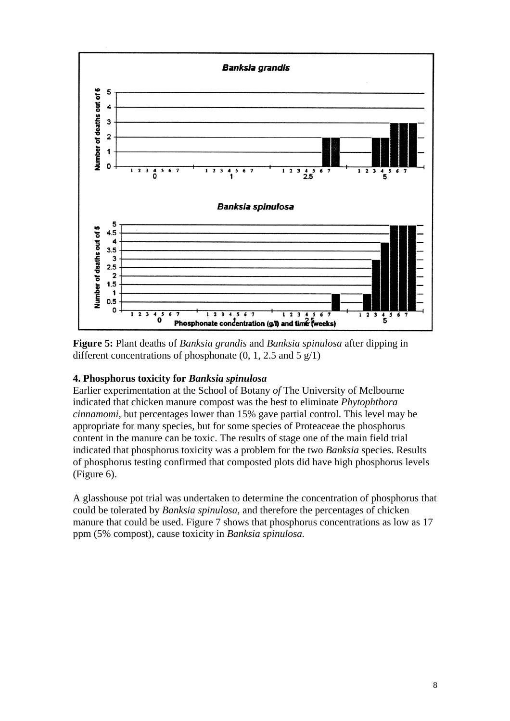

**Figure 5:** Plant deaths of *Banksia grandis* and *Banksia spinulosa* after dipping in different concentrations of phosphonate  $(0, 1, 2.5, \text{ and } 5 \text{ g}/1)$ 

#### **4. Phosphorus toxicity for** *Banksia spinulosa*

Earlier experimentation at the School of Botany *of* The University of Melbourne indicated that chicken manure compost was the best to eliminate *Phytophthora cinnamomi,* but percentages lower than 15% gave partial control. This level may be appropriate for many species, but for some species of Proteaceae the phosphorus content in the manure can be toxic. The results of stage one of the main field trial indicated that phosphorus toxicity was a problem for the two *Banksia* species. Results of phosphorus testing confirmed that composted plots did have high phosphorus levels (Figure 6).

A glasshouse pot trial was undertaken to determine the concentration of phosphorus that could be tolerated by *Banksia spinulosa,* and therefore the percentages of chicken manure that could be used. Figure 7 shows that phosphorus concentrations as low as 17 ppm (5% compost), cause toxicity in *Banksia spinulosa.*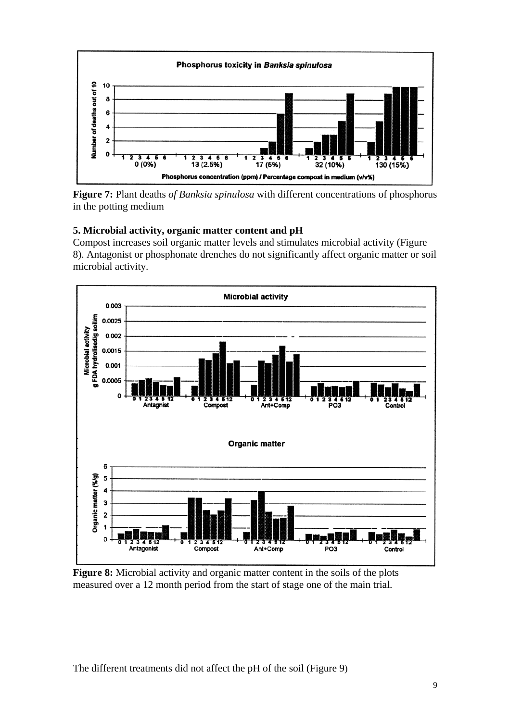

**Figure 7:** Plant deaths *of Banksia spinulosa* with different concentrations of phosphorus in the potting medium

#### **5. Microbial activity, organic matter content and pH**

Compost increases soil organic matter levels and stimulates microbial activity (Figure 8). Antagonist or phosphonate drenches do not significantly affect organic matter or soil microbial activity.



**Figure 8:** Microbial activity and organic matter content in the soils of the plots measured over a 12 month period from the start of stage one of the main trial.

The different treatments did not affect the pH of the soil (Figure 9)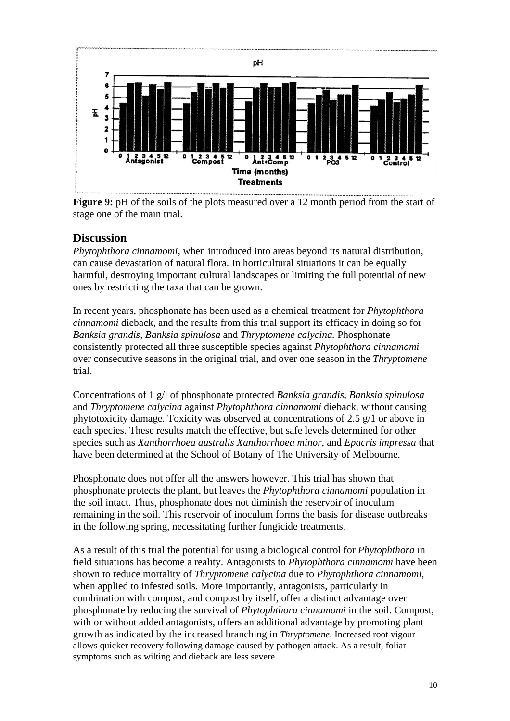

**Figure 9:** pH of the soils of the plots measured over a 12 month period from the start of stage one of the main trial.

## **Discussion**

*Phytophthora cinnamomi,* when introduced into areas beyond its natural distribution, can cause devastation of natural flora. In horticultural situations it can be equally harmful, destroying important cultural landscapes or limiting the full potential of new ones by restricting the taxa that can be grown.

In recent years, phosphonate has been used as a chemical treatment for *Phytophthora cinnamomi* dieback, and the results from this trial support its efficacy in doing so for *Banksia grandis, Banksia spinulosa* and *Thryptomene calycina.* Phosphonate consistently protected all three susceptible species against *Phytophthora cinnamomi*  over consecutive seasons in the original trial, and over one season in the *Thryptomene*  trial.

Concentrations of 1 g/l of phosphonate protected *Banksia grandis, Banksia spinulosa*  and *Thryptomene calycina* against *Phytophthora cinnamomi* dieback, without causing phytotoxicity damage. Toxicity was observed at concentrations of 2.5 g/1 or above in each species. These results match the effective, but safe levels determined for other species such as *Xanthorrhoea australis Xanthorrhoea minor,* and *Epacris impressa* that have been determined at the School of Botany of The University of Melbourne.

Phosphonate does not offer all the answers however. This trial has shown that phosphonate protects the plant, but leaves the *Phytophthora cinnamomi* population in the soil intact. Thus, phosphonate does not diminish the reservoir of inoculum remaining in the soil. This reservoir of inoculum forms the basis for disease outbreaks in the following spring, necessitating further fungicide treatments.

As a result of this trial the potential for using a biological control for *Phytophthora* in field situations has become a reality. Antagonists to *Phytophthora cinnamomi* have been shown to reduce mortality of *Thryptomene calycina* due to *Phytophthora cinnamomi,*  when applied to infested soils. More importantly, antagonists, particularly in combination with compost, and compost by itself, offer a distinct advantage over phosphonate by reducing the survival of *Phytophthora cinnamomi* in the soil. Compost, with or without added antagonists, offers an additional advantage by promoting plant growth as indicated by the increased branching in *Thryptomene.* Increased root vigour allows quicker recovery following damage caused by pathogen attack. As a result, foliar symptoms such as wilting and dieback are less severe.